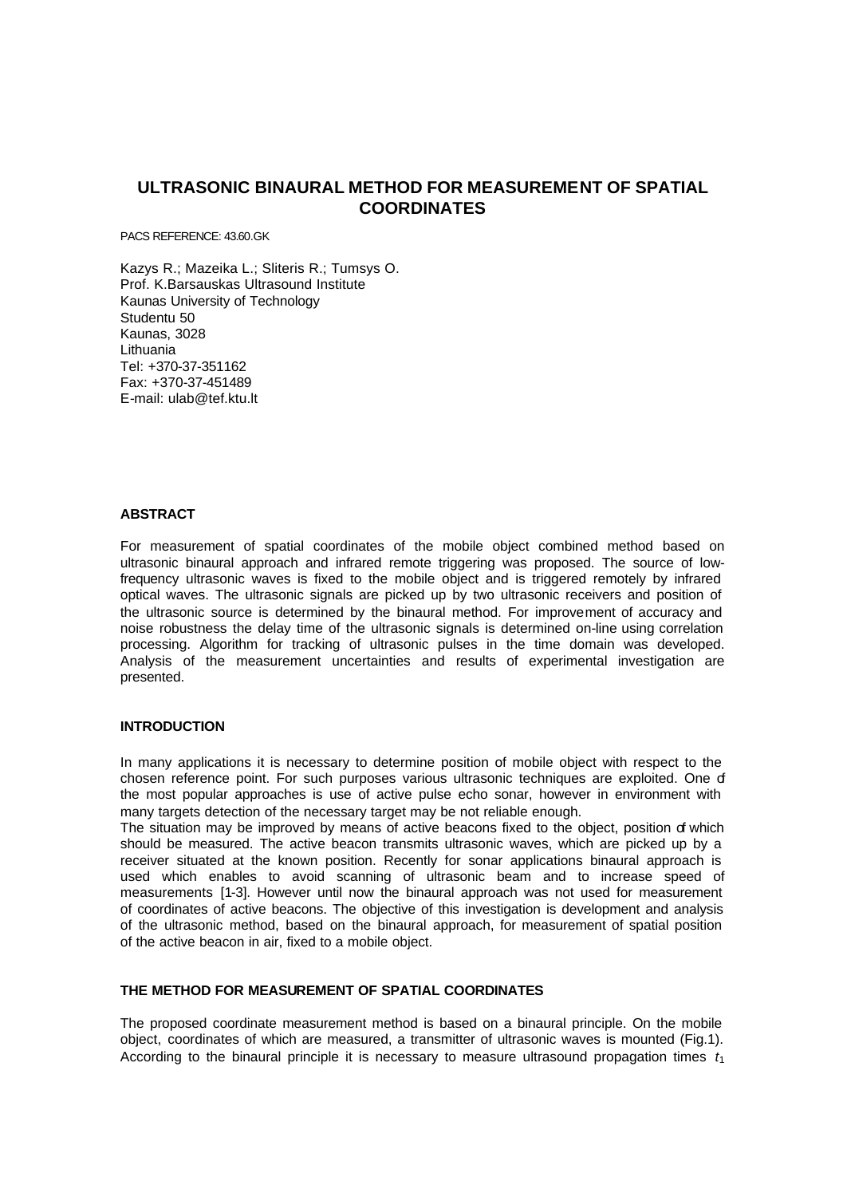# **ULTRASONIC BINAURAL METHOD FOR MEASUREMENT OF SPATIAL COORDINATES**

PACS REFERENCE: 43.60.GK

Kazys R.; Mazeika L.; Sliteris R.; Tumsys O. Prof. K.Barsauskas Ultrasound Institute Kaunas University of Technology Studentu 50 Kaunas, 3028 Lithuania Tel: +370-37-351162 Fax: +370-37-451489 E-mail: ulab@tef.ktu.lt

# **ABSTRACT**

For measurement of spatial coordinates of the mobile object combined method based on ultrasonic binaural approach and infrared remote triggering was proposed. The source of lowfrequency ultrasonic waves is fixed to the mobile object and is triggered remotely by infrared optical waves. The ultrasonic signals are picked up by two ultrasonic receivers and position of the ultrasonic source is determined by the binaural method. For improvement of accuracy and noise robustness the delay time of the ultrasonic signals is determined on-line using correlation processing. Algorithm for tracking of ultrasonic pulses in the time domain was developed. Analysis of the measurement uncertainties and results of experimental investigation are presented.

# **INTRODUCTION**

In many applications it is necessary to determine position of mobile object with respect to the chosen reference point. For such purposes various ultrasonic techniques are exploited. One of the most popular approaches is use of active pulse echo sonar, however in environment with many targets detection of the necessary target may be not reliable enough.

The situation may be improved by means of active beacons fixed to the object, position of which should be measured. The active beacon transmits ultrasonic waves, which are picked up by a receiver situated at the known position. Recently for sonar applications binaural approach is used which enables to avoid scanning of ultrasonic beam and to increase speed of measurements [1-3]. However until now the binaural approach was not used for measurement of coordinates of active beacons. The objective of this investigation is development and analysis of the ultrasonic method, based on the binaural approach, for measurement of spatial position of the active beacon in air, fixed to a mobile object.

# **THE METHOD FOR MEASUREMENT OF SPATIAL COORDINATES**

The proposed coordinate measurement method is based on a binaural principle. On the mobile object, coordinates of which are measured, a transmitter of ultrasonic waves is mounted (Fig.1). According to the binaural principle it is necessary to measure ultrasound propagation times  $t_1$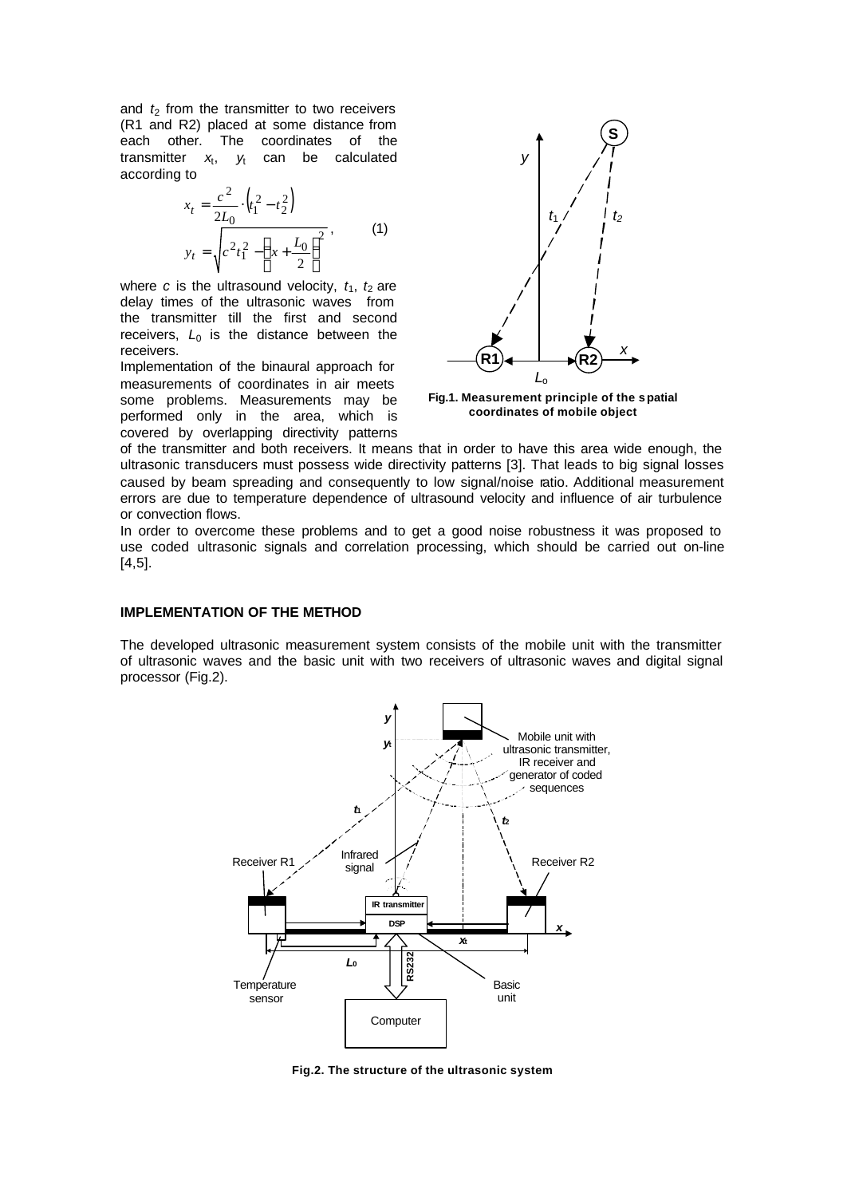and  $t_2$  from the transmitter to two receivers (R1 and R2) placed at some distance from each other. The coordinates of the transmitter  $x_t$ ,  $y_t$ , *y*<sup>t</sup> can be calculated according to

$$
x_{t} = \frac{c^{2}}{2L_{0}} \cdot (t_{1}^{2} - t_{2}^{2})
$$
  
\n
$$
y_{t} = \sqrt{c^{2}t_{1}^{2} - (x + \frac{L_{0}}{2})^{2}},
$$
\n(1)

where *c* is the ultrasound velocity,  $t_1$ ,  $t_2$  are delay times of the ultrasonic waves from the transmitter till the first and second receivers,  $L_0$  is the distance between the receivers.

Implementation of the binaural approach for measurements of coordinates in air meets some problems. Measurements may be performed only in the area, which is covered by overlapping directivity patterns



**Fig.1. Measurement principle of the spatial coordinates of mobile object**

of the transmitter and both receivers. It means that in order to have this area wide enough, the ultrasonic transducers must possess wide directivity patterns [3]. That leads to big signal losses caused by beam spreading and consequently to low signal/noise ratio. Additional measurement errors are due to temperature dependence of ultrasound velocity and influence of air turbulence or convection flows.

In order to overcome these problems and to get a good noise robustness it was proposed to use coded ultrasonic signals and correlation processing, which should be carried out on-line [4,5].

#### **IMPLEMENTATION OF THE METHOD**

The developed ultrasonic measurement system consists of the mobile unit with the transmitter of ultrasonic waves and the basic unit with two receivers of ultrasonic waves and digital signal processor (Fig.2).



**Fig.2. The structure of the ultrasonic system**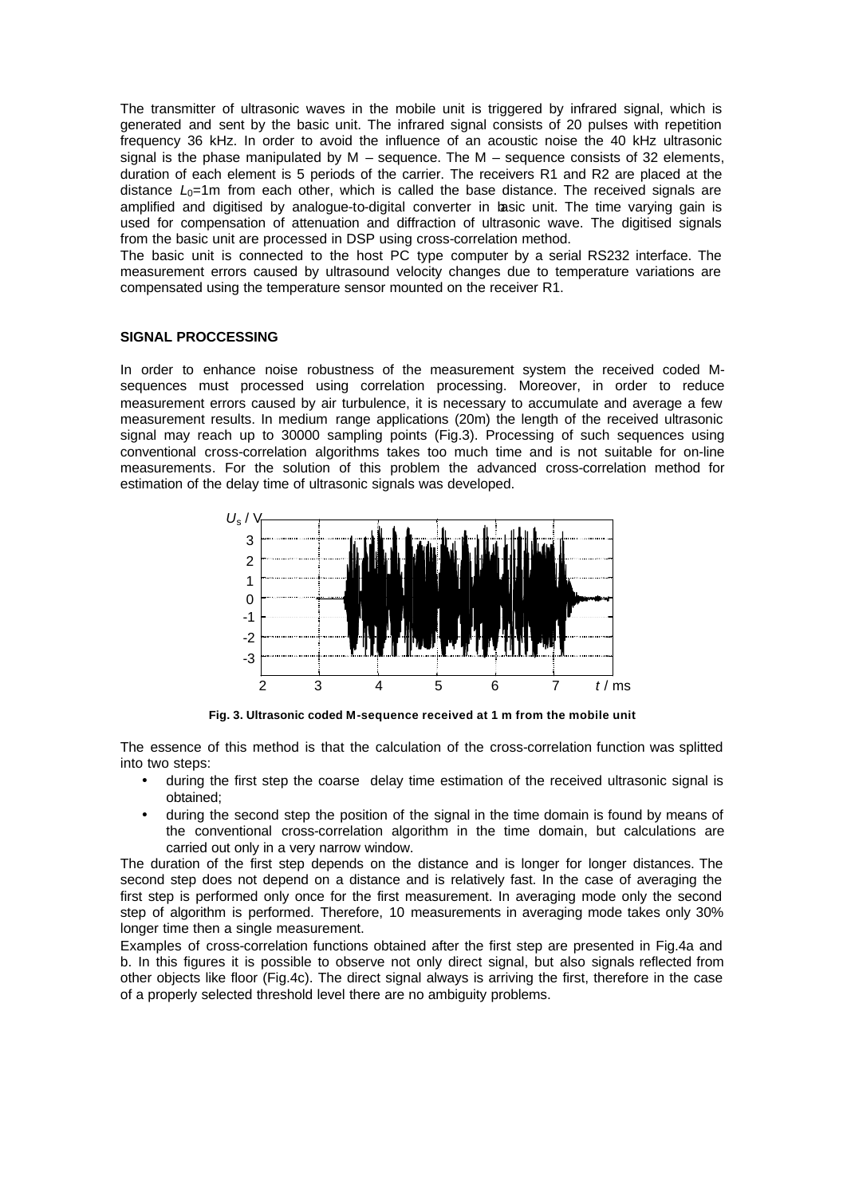The transmitter of ultrasonic waves in the mobile unit is triggered by infrared signal, which is generated and sent by the basic unit. The infrared signal consists of 20 pulses with repetition frequency 36 kHz. In order to avoid the influence of an acoustic noise the 40 kHz ultrasonic signal is the phase manipulated by  $M$  – sequence. The  $M$  – sequence consists of 32 elements, duration of each element is 5 periods of the carrier. The receivers R1 and R2 are placed at the distance  $L_0$ =1m from each other, which is called the base distance. The received signals are amplified and digitised by analogue-to-digital converter in basic unit. The time varying gain is used for compensation of attenuation and diffraction of ultrasonic wave. The digitised signals from the basic unit are processed in DSP using cross-correlation method.

The basic unit is connected to the host PC type computer by a serial RS232 interface. The measurement errors caused by ultrasound velocity changes due to temperature variations are compensated using the temperature sensor mounted on the receiver R1.

## **SIGNAL PROCCESSING**

In order to enhance noise robustness of the measurement system the received coded Msequences must processed using correlation processing. Moreover, in order to reduce measurement errors caused by air turbulence, it is necessary to accumulate and average a few measurement results. In medium range applications (20m) the length of the received ultrasonic signal may reach up to 30000 sampling points (Fig.3). Processing of such sequences using conventional cross-correlation algorithms takes too much time and is not suitable for on-line measurements. For the solution of this problem the advanced cross-correlation method for estimation of the delay time of ultrasonic signals was developed.



**Fig. 3. Ultrasonic coded M-sequence received at 1 m from the mobile unit**

The essence of this method is that the calculation of the cross-correlation function was splitted into two steps:

- during the first step the coarse delay time estimation of the received ultrasonic signal is obtained;
- during the second step the position of the signal in the time domain is found by means of the conventional cross-correlation algorithm in the time domain, but calculations are carried out only in a very narrow window.

The duration of the first step depends on the distance and is longer for longer distances. The second step does not depend on a distance and is relatively fast. In the case of averaging the first step is performed only once for the first measurement. In averaging mode only the second step of algorithm is performed. Therefore, 10 measurements in averaging mode takes only 30% longer time then a single measurement.

Examples of cross-correlation functions obtained after the first step are presented in Fig.4a and b. In this figures it is possible to observe not only direct signal, but also signals reflected from other objects like floor (Fig.4c). The direct signal always is arriving the first, therefore in the case of a properly selected threshold level there are no ambiguity problems.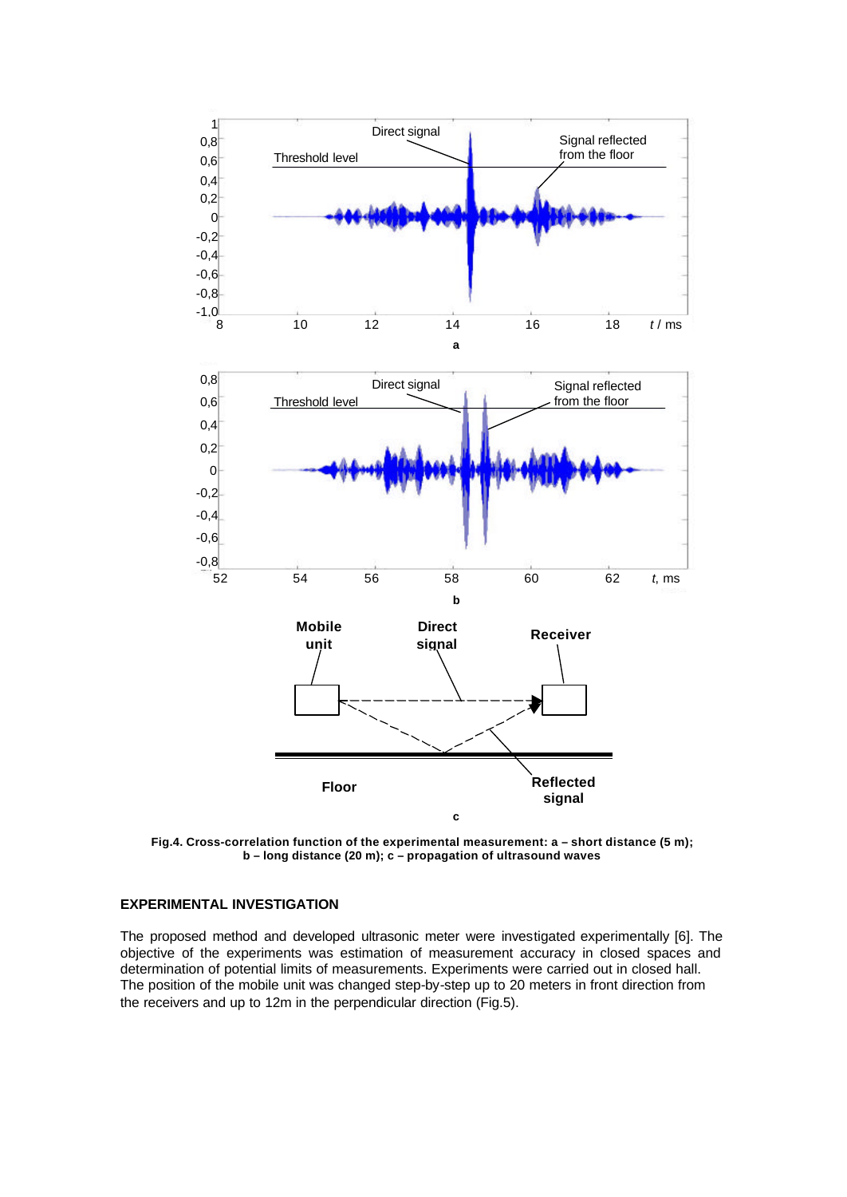

**Fig.4. Cross-correlation function of the experimental measurement: a – short distance (5 m); b – long distance (20 m); c – propagation of ultrasound waves**

# **EXPERIMENTAL INVESTIGATION**

The proposed method and developed ultrasonic meter were investigated experimentally [6]. The objective of the experiments was estimation of measurement accuracy in closed spaces and determination of potential limits of measurements. Experiments were carried out in closed hall. The position of the mobile unit was changed step-by-step up to 20 meters in front direction from the receivers and up to 12m in the perpendicular direction (Fig.5).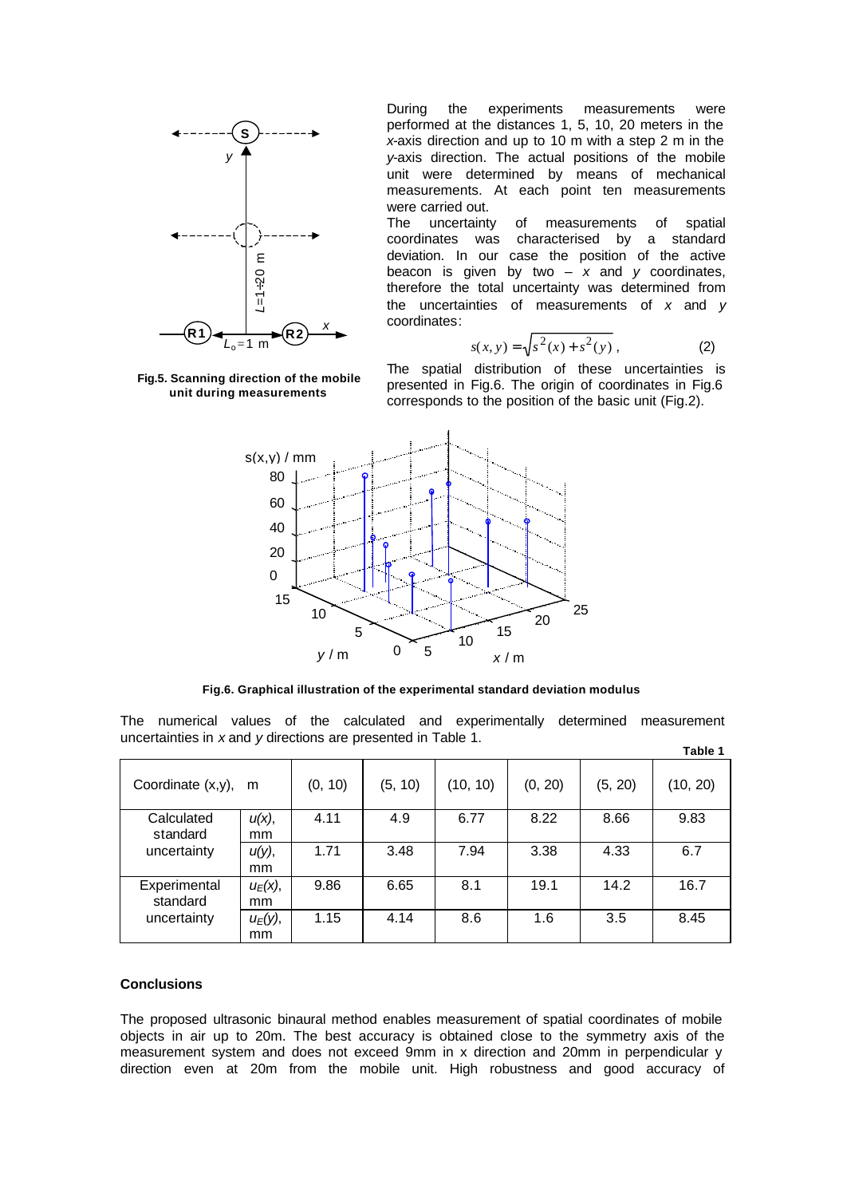

During the experiments measurements were performed at the distances 1, 5, 10, 20 meters in the *x*-axis direction and up to 10 m with a step 2 m in the *y*-axis direction. The actual positions of the mobile unit were determined by means of mechanical measurements. At each point ten measurements were carried out.

The uncertainty of measurements of spatial coordinates was characterised by a standard deviation. In our case the position of the active beacon is given by two  $- x$  and  $y$  coordinates, therefore the total uncertainty was determined from the uncertainties of measurements of *x* and *y* coordinates:

$$
s(x, y) = \sqrt{s^2(x) + s^2(y)},
$$
 (2)

**Fig.5. Scanning direction of the mobile unit during measurements**



**Fig.6. Graphical illustration of the experimental standard deviation modulus**

| $=1+20$ m<br>$\overline{R}$ 1<br>$L_0 = 1$ m<br>Fig.5. Scanning direction of the mobile<br>unit during measurements                                                                                                                                                                                                                                                                          |                  |         | deviation. In our case the position of the active<br>beacon is given by two $-$ x and y coordinates,<br>therefore the total uncertainty was determined from<br>the uncertainties of measurements of $x$ and $y$<br>coordinates:<br>$s(x, y) = \sqrt{s^2(x) + s^2(y)}$ ,<br>(2)<br>The spatial distribution of these uncertainties is<br>presented in Fig.6. The origin of coordinates in Fig.6<br>corresponds to the position of the basic unit (Fig.2). |          |         |         |          |
|----------------------------------------------------------------------------------------------------------------------------------------------------------------------------------------------------------------------------------------------------------------------------------------------------------------------------------------------------------------------------------------------|------------------|---------|----------------------------------------------------------------------------------------------------------------------------------------------------------------------------------------------------------------------------------------------------------------------------------------------------------------------------------------------------------------------------------------------------------------------------------------------------------|----------|---------|---------|----------|
| s(x,y) / mm<br>80<br>60<br>40<br>20<br>0<br>15<br>25<br>10<br>20<br>15<br>5<br>10<br>0<br>5<br>y/m<br>x/m<br>Fig.6. Graphical illustration of the experimental standard deviation modulus<br>The<br>numerical values of the calculated and experimentally determined<br>measurement<br>uncertainties in x and y directions are presented in Table 1.<br>Table 1                              |                  |         |                                                                                                                                                                                                                                                                                                                                                                                                                                                          |          |         |         |          |
| Coordinate (x,y),                                                                                                                                                                                                                                                                                                                                                                            | m                | (0, 10) | (5, 10)                                                                                                                                                                                                                                                                                                                                                                                                                                                  | (10, 10) | (0, 20) | (5, 20) | (10, 20) |
| Calculated<br>standard                                                                                                                                                                                                                                                                                                                                                                       | и(х),<br>mm      | 4.11    | 4.9                                                                                                                                                                                                                                                                                                                                                                                                                                                      | 6.77     | 8.22    | 8.66    | 9.83     |
| uncertainty                                                                                                                                                                                                                                                                                                                                                                                  | и(у),<br>mm      | 1.71    | 3.48                                                                                                                                                                                                                                                                                                                                                                                                                                                     | 7.94     | 3.38    | 4.33    | 6.7      |
| Experimental<br>standard                                                                                                                                                                                                                                                                                                                                                                     | $u_E(x)$ ,<br>mm | 9.86    | 6.65                                                                                                                                                                                                                                                                                                                                                                                                                                                     | 8.1      | 19.1    | 14.2    | 16.7     |
| uncertainty                                                                                                                                                                                                                                                                                                                                                                                  | $u_E(y)$ ,<br>mm | 1.15    | 4.14                                                                                                                                                                                                                                                                                                                                                                                                                                                     | 8.6      | 1.6     | 3.5     | 8.45     |
| <b>Conclusions</b><br>The proposed ultrasonic binaural method enables measurement of spatial coordinates of mobile<br>objects in air up to 20m. The best accuracy is obtained close to the symmetry axis of the<br>measurement system and does not exceed 9mm in x direction and 20mm in perpendicular y<br>direction even at 20m from the mobile unit. High robustness and good accuracy of |                  |         |                                                                                                                                                                                                                                                                                                                                                                                                                                                          |          |         |         |          |

#### **Conclusions**